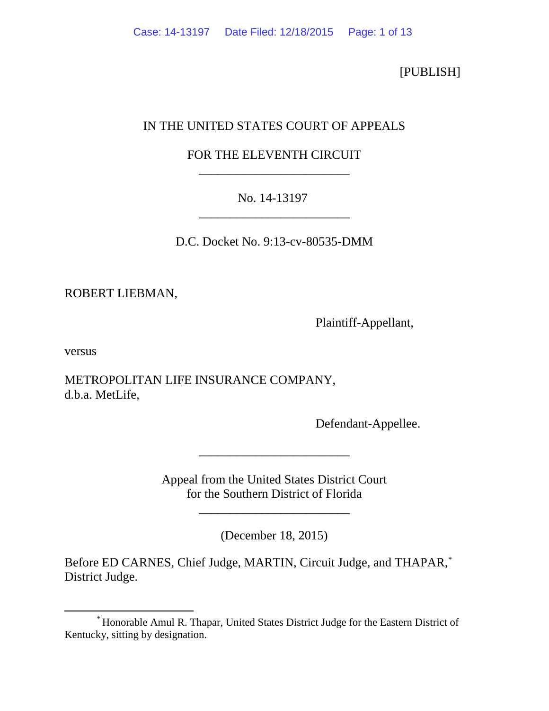[PUBLISH]

# IN THE UNITED STATES COURT OF APPEALS

# FOR THE ELEVENTH CIRCUIT \_\_\_\_\_\_\_\_\_\_\_\_\_\_\_\_\_\_\_\_\_\_\_\_

# No. 14-13197 \_\_\_\_\_\_\_\_\_\_\_\_\_\_\_\_\_\_\_\_\_\_\_\_

D.C. Docket No. 9:13-cv-80535-DMM

ROBERT LIEBMAN,

Plaintiff-Appellant,

versus

METROPOLITAN LIFE INSURANCE COMPANY, d.b.a. MetLife,

Defendant-Appellee.

Appeal from the United States District Court for the Southern District of Florida

\_\_\_\_\_\_\_\_\_\_\_\_\_\_\_\_\_\_\_\_\_\_\_\_

(December 18, 2015)

\_\_\_\_\_\_\_\_\_\_\_\_\_\_\_\_\_\_\_\_\_\_\_\_

Before ED CARNES, Chief Judge, MARTIN, Circuit Judge, and THAPAR,[\\*](#page-0-0) District Judge.

<span id="page-0-0"></span> <sup>\*</sup> Honorable Amul R. Thapar, United States District Judge for the Eastern District of Kentucky, sitting by designation.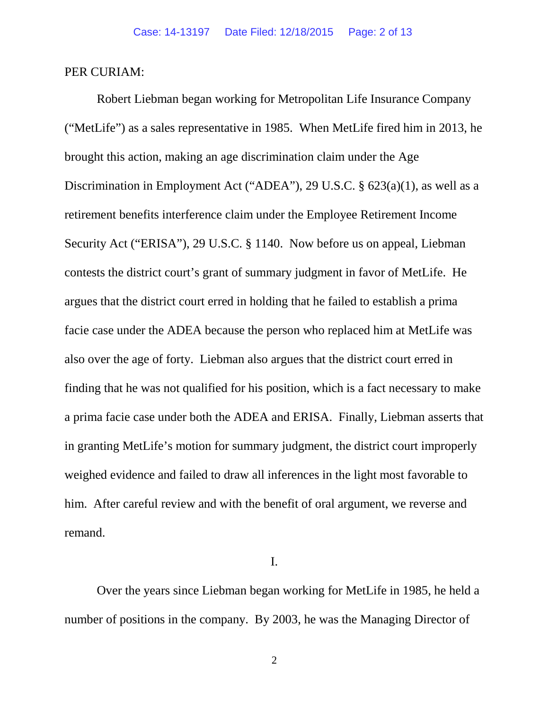### PER CURIAM:

Robert Liebman began working for Metropolitan Life Insurance Company ("MetLife") as a sales representative in 1985. When MetLife fired him in 2013, he brought this action, making an age discrimination claim under the Age Discrimination in Employment Act ("ADEA"), 29 U.S.C. § 623(a)(1), as well as a retirement benefits interference claim under the Employee Retirement Income Security Act ("ERISA"), 29 U.S.C. § 1140. Now before us on appeal, Liebman contests the district court's grant of summary judgment in favor of MetLife. He argues that the district court erred in holding that he failed to establish a prima facie case under the ADEA because the person who replaced him at MetLife was also over the age of forty. Liebman also argues that the district court erred in finding that he was not qualified for his position, which is a fact necessary to make a prima facie case under both the ADEA and ERISA. Finally, Liebman asserts that in granting MetLife's motion for summary judgment, the district court improperly weighed evidence and failed to draw all inferences in the light most favorable to him. After careful review and with the benefit of oral argument, we reverse and remand.

I.

Over the years since Liebman began working for MetLife in 1985, he held a number of positions in the company. By 2003, he was the Managing Director of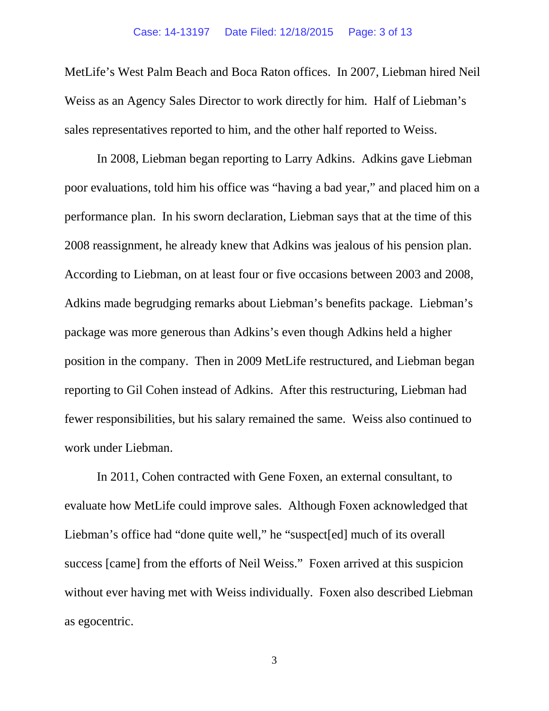MetLife's West Palm Beach and Boca Raton offices. In 2007, Liebman hired Neil Weiss as an Agency Sales Director to work directly for him. Half of Liebman's sales representatives reported to him, and the other half reported to Weiss.

In 2008, Liebman began reporting to Larry Adkins. Adkins gave Liebman poor evaluations, told him his office was "having a bad year," and placed him on a performance plan. In his sworn declaration, Liebman says that at the time of this 2008 reassignment, he already knew that Adkins was jealous of his pension plan. According to Liebman, on at least four or five occasions between 2003 and 2008, Adkins made begrudging remarks about Liebman's benefits package. Liebman's package was more generous than Adkins's even though Adkins held a higher position in the company. Then in 2009 MetLife restructured, and Liebman began reporting to Gil Cohen instead of Adkins. After this restructuring, Liebman had fewer responsibilities, but his salary remained the same. Weiss also continued to work under Liebman.

In 2011, Cohen contracted with Gene Foxen, an external consultant, to evaluate how MetLife could improve sales. Although Foxen acknowledged that Liebman's office had "done quite well," he "suspect[ed] much of its overall success [came] from the efforts of Neil Weiss." Foxen arrived at this suspicion without ever having met with Weiss individually. Foxen also described Liebman as egocentric.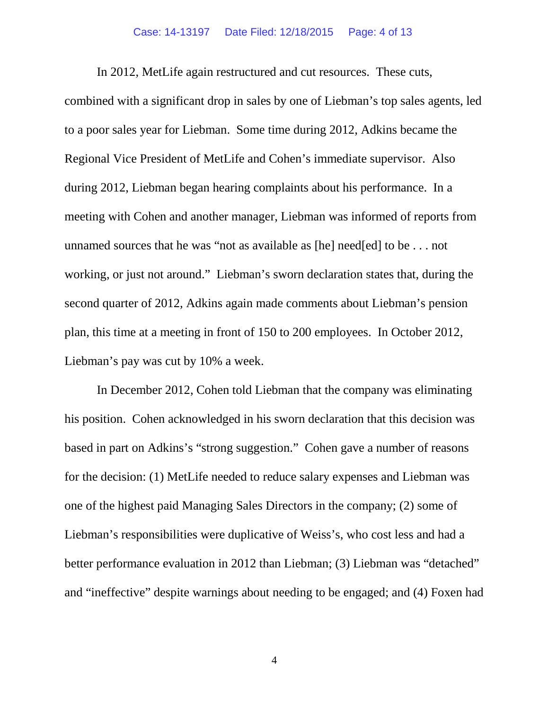#### Case: 14-13197 Date Filed: 12/18/2015 Page: 4 of 13

In 2012, MetLife again restructured and cut resources. These cuts, combined with a significant drop in sales by one of Liebman's top sales agents, led to a poor sales year for Liebman. Some time during 2012, Adkins became the Regional Vice President of MetLife and Cohen's immediate supervisor. Also during 2012, Liebman began hearing complaints about his performance. In a meeting with Cohen and another manager, Liebman was informed of reports from unnamed sources that he was "not as available as [he] need[ed] to be . . . not working, or just not around." Liebman's sworn declaration states that, during the second quarter of 2012, Adkins again made comments about Liebman's pension plan, this time at a meeting in front of 150 to 200 employees. In October 2012, Liebman's pay was cut by 10% a week.

In December 2012, Cohen told Liebman that the company was eliminating his position. Cohen acknowledged in his sworn declaration that this decision was based in part on Adkins's "strong suggestion." Cohen gave a number of reasons for the decision: (1) MetLife needed to reduce salary expenses and Liebman was one of the highest paid Managing Sales Directors in the company; (2) some of Liebman's responsibilities were duplicative of Weiss's, who cost less and had a better performance evaluation in 2012 than Liebman; (3) Liebman was "detached" and "ineffective" despite warnings about needing to be engaged; and (4) Foxen had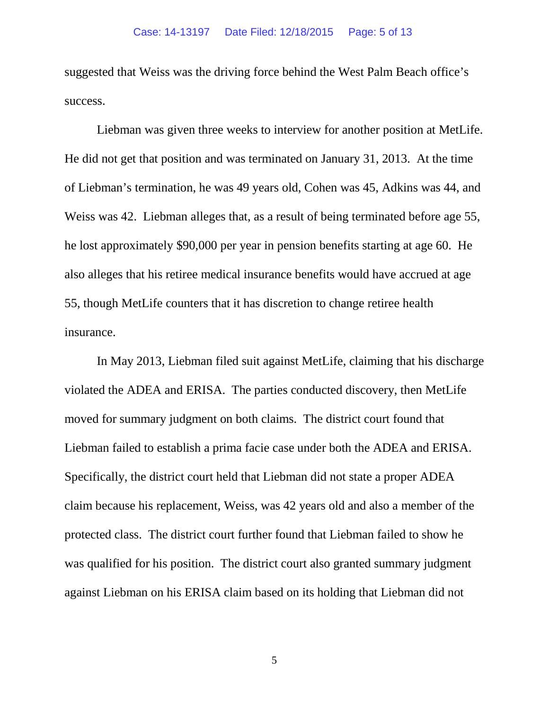suggested that Weiss was the driving force behind the West Palm Beach office's success.

Liebman was given three weeks to interview for another position at MetLife. He did not get that position and was terminated on January 31, 2013. At the time of Liebman's termination, he was 49 years old, Cohen was 45, Adkins was 44, and Weiss was 42. Liebman alleges that, as a result of being terminated before age 55, he lost approximately \$90,000 per year in pension benefits starting at age 60. He also alleges that his retiree medical insurance benefits would have accrued at age 55, though MetLife counters that it has discretion to change retiree health insurance.

In May 2013, Liebman filed suit against MetLife, claiming that his discharge violated the ADEA and ERISA. The parties conducted discovery, then MetLife moved for summary judgment on both claims. The district court found that Liebman failed to establish a prima facie case under both the ADEA and ERISA. Specifically, the district court held that Liebman did not state a proper ADEA claim because his replacement, Weiss, was 42 years old and also a member of the protected class. The district court further found that Liebman failed to show he was qualified for his position. The district court also granted summary judgment against Liebman on his ERISA claim based on its holding that Liebman did not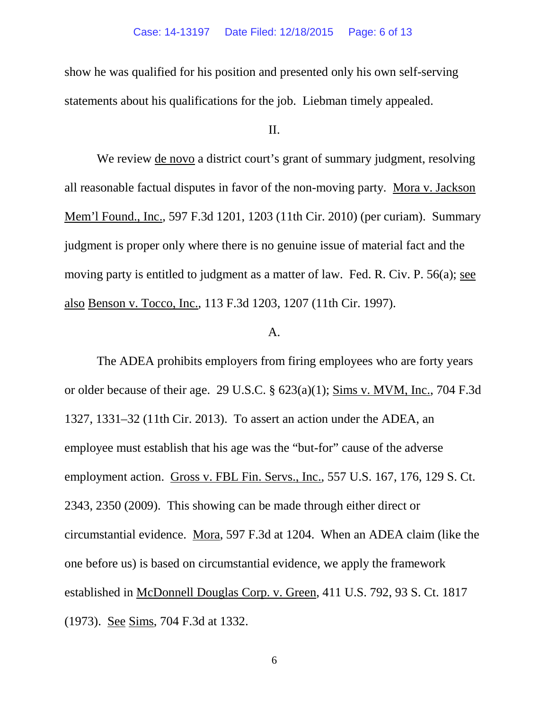show he was qualified for his position and presented only his own self-serving statements about his qualifications for the job. Liebman timely appealed.

### II.

We review de novo a district court's grant of summary judgment, resolving all reasonable factual disputes in favor of the non-moving party. Mora v. Jackson Mem'l Found., Inc., 597 F.3d 1201, 1203 (11th Cir. 2010) (per curiam). Summary judgment is proper only where there is no genuine issue of material fact and the moving party is entitled to judgment as a matter of law. Fed. R. Civ. P. 56(a); see also Benson v. Tocco, Inc., 113 F.3d 1203, 1207 (11th Cir. 1997).

#### $A<sub>1</sub>$

The ADEA prohibits employers from firing employees who are forty years or older because of their age. 29 U.S.C. § 623(a)(1); Sims v. MVM, Inc., 704 F.3d 1327, 1331–32 (11th Cir. 2013). To assert an action under the ADEA, an employee must establish that his age was the "but-for" cause of the adverse employment action. Gross v. FBL Fin. Servs., Inc., 557 U.S. 167, 176, 129 S. Ct. 2343, 2350 (2009). This showing can be made through either direct or circumstantial evidence. Mora, 597 F.3d at 1204. When an ADEA claim (like the one before us) is based on circumstantial evidence, we apply the framework established in McDonnell Douglas Corp. v. Green, 411 U.S. 792, 93 S. Ct. 1817 (1973). See Sims, 704 F.3d at 1332.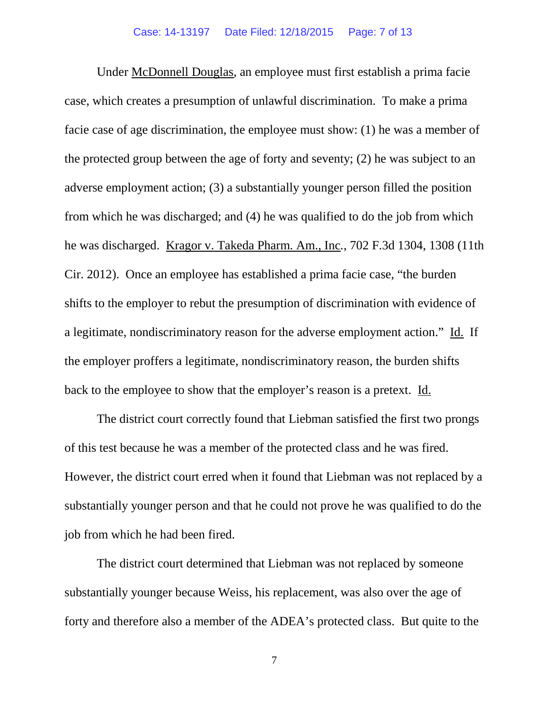Under McDonnell Douglas, an employee must first establish a prima facie case, which creates a presumption of unlawful discrimination. To make a prima facie case of age discrimination, the employee must show: (1) he was a member of the protected group between the age of forty and seventy; (2) he was subject to an adverse employment action; (3) a substantially younger person filled the position from which he was discharged; and (4) he was qualified to do the job from which he was discharged. Kragor v. Takeda Pharm. Am., Inc*.*, 702 F.3d 1304, 1308 (11th Cir. 2012). Once an employee has established a prima facie case, "the burden shifts to the employer to rebut the presumption of discrimination with evidence of a legitimate, nondiscriminatory reason for the adverse employment action." Id. If the employer proffers a legitimate, nondiscriminatory reason, the burden shifts back to the employee to show that the employer's reason is a pretext. Id.

The district court correctly found that Liebman satisfied the first two prongs of this test because he was a member of the protected class and he was fired. However, the district court erred when it found that Liebman was not replaced by a substantially younger person and that he could not prove he was qualified to do the job from which he had been fired.

The district court determined that Liebman was not replaced by someone substantially younger because Weiss, his replacement, was also over the age of forty and therefore also a member of the ADEA's protected class. But quite to the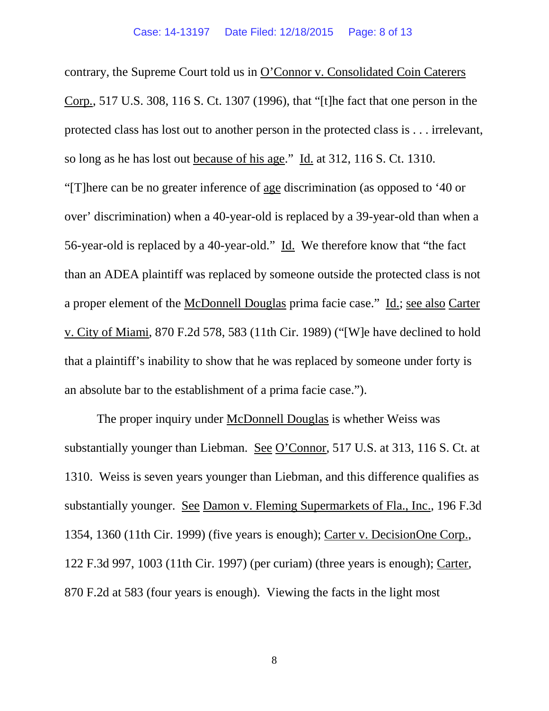contrary, the Supreme Court told us in O'Connor v. Consolidated Coin Caterers Corp*.*, 517 U.S. 308, 116 S. Ct. 1307 (1996), that "[t]he fact that one person in the protected class has lost out to another person in the protected class is . . . irrelevant, so long as he has lost out because of his age." Id. at 312, 116 S. Ct. 1310. "[T]here can be no greater inference of age discrimination (as opposed to '40 or over' discrimination) when a 40-year-old is replaced by a 39-year-old than when a 56-year-old is replaced by a 40-year-old." Id. We therefore know that "the fact than an ADEA plaintiff was replaced by someone outside the protected class is not a proper element of the McDonnell Douglas prima facie case." Id.; see also Carter v. City of Miami, 870 F.2d 578, 583 (11th Cir. 1989) ("[W]e have declined to hold that a plaintiff's inability to show that he was replaced by someone under forty is an absolute bar to the establishment of a prima facie case.").

The proper inquiry under McDonnell Douglas is whether Weiss was substantially younger than Liebman. See O'Connor, 517 U*.*S. at 313, 116 S. Ct. at 1310. Weiss is seven years younger than Liebman, and this difference qualifies as substantially younger. See Damon v. Fleming Supermarkets of Fla., Inc., 196 F.3d 1354, 1360 (11th Cir. 1999) (five years is enough); Carter v. DecisionOne Corp., 122 F.3d 997, 1003 (11th Cir. 1997) (per curiam) (three years is enough); Carter, 870 F.2d at 583 (four years is enough). Viewing the facts in the light most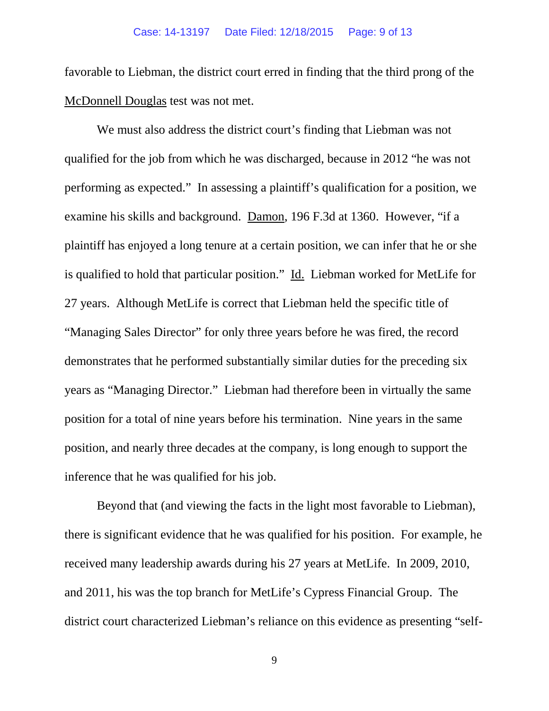favorable to Liebman, the district court erred in finding that the third prong of the McDonnell Douglas test was not met.

We must also address the district court's finding that Liebman was not qualified for the job from which he was discharged, because in 2012 "he was not performing as expected." In assessing a plaintiff's qualification for a position, we examine his skills and background. Damon, 196 F.3d at 1360. However, "if a plaintiff has enjoyed a long tenure at a certain position, we can infer that he or she is qualified to hold that particular position." Id. Liebman worked for MetLife for 27 years. Although MetLife is correct that Liebman held the specific title of "Managing Sales Director" for only three years before he was fired, the record demonstrates that he performed substantially similar duties for the preceding six years as "Managing Director." Liebman had therefore been in virtually the same position for a total of nine years before his termination. Nine years in the same position, and nearly three decades at the company, is long enough to support the inference that he was qualified for his job.

Beyond that (and viewing the facts in the light most favorable to Liebman), there is significant evidence that he was qualified for his position. For example, he received many leadership awards during his 27 years at MetLife. In 2009, 2010, and 2011, his was the top branch for MetLife's Cypress Financial Group. The district court characterized Liebman's reliance on this evidence as presenting "self-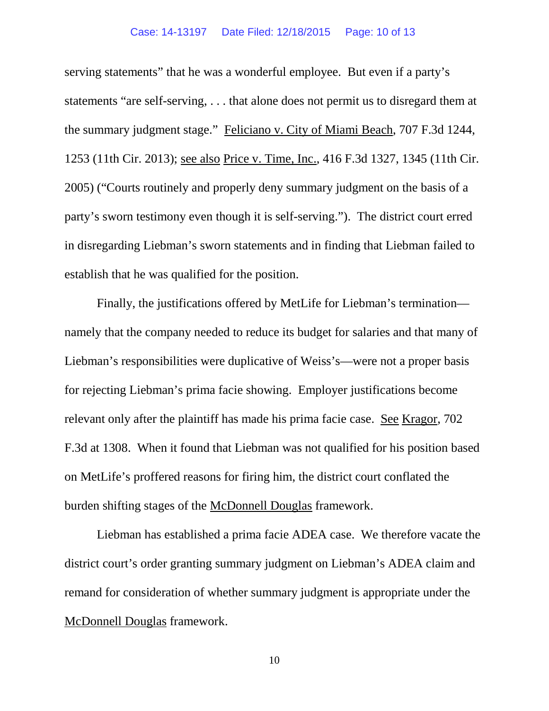serving statements" that he was a wonderful employee. But even if a party's statements "are self-serving, . . . that alone does not permit us to disregard them at the summary judgment stage." Feliciano v. City of Miami Beach, 707 F.3d 1244, 1253 (11th Cir. 2013); see also Price v. Time, Inc., 416 F.3d 1327, 1345 (11th Cir. 2005) ("Courts routinely and properly deny summary judgment on the basis of a party's sworn testimony even though it is self-serving."). The district court erred in disregarding Liebman's sworn statements and in finding that Liebman failed to establish that he was qualified for the position.

Finally, the justifications offered by MetLife for Liebman's termination namely that the company needed to reduce its budget for salaries and that many of Liebman's responsibilities were duplicative of Weiss's—were not a proper basis for rejecting Liebman's prima facie showing. Employer justifications become relevant only after the plaintiff has made his prima facie case. See Kragor, 702 F.3d at 1308. When it found that Liebman was not qualified for his position based on MetLife's proffered reasons for firing him, the district court conflated the burden shifting stages of the McDonnell Douglas framework.

Liebman has established a prima facie ADEA case. We therefore vacate the district court's order granting summary judgment on Liebman's ADEA claim and remand for consideration of whether summary judgment is appropriate under the McDonnell Douglas framework.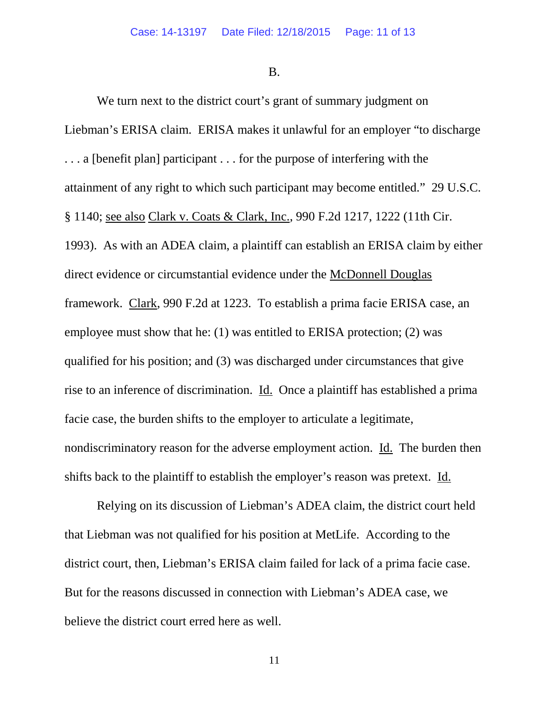B.

We turn next to the district court's grant of summary judgment on Liebman's ERISA claim. ERISA makes it unlawful for an employer "to discharge . . . a [benefit plan] participant . . . for the purpose of interfering with the attainment of any right to which such participant may become entitled." 29 U.S.C. § 1140; see also Clark v. Coats & Clark, Inc., 990 F.2d 1217, 1222 (11th Cir. 1993). As with an ADEA claim, a plaintiff can establish an ERISA claim by either direct evidence or circumstantial evidence under the McDonnell Douglas framework. Clark, 990 F.2d at 1223. To establish a prima facie ERISA case, an employee must show that he: (1) was entitled to ERISA protection; (2) was qualified for his position; and (3) was discharged under circumstances that give rise to an inference of discrimination. Id. Once a plaintiff has established a prima facie case, the burden shifts to the employer to articulate a legitimate, nondiscriminatory reason for the adverse employment action. Id. The burden then shifts back to the plaintiff to establish the employer's reason was pretext. Id.

Relying on its discussion of Liebman's ADEA claim, the district court held that Liebman was not qualified for his position at MetLife. According to the district court, then, Liebman's ERISA claim failed for lack of a prima facie case. But for the reasons discussed in connection with Liebman's ADEA case, we believe the district court erred here as well.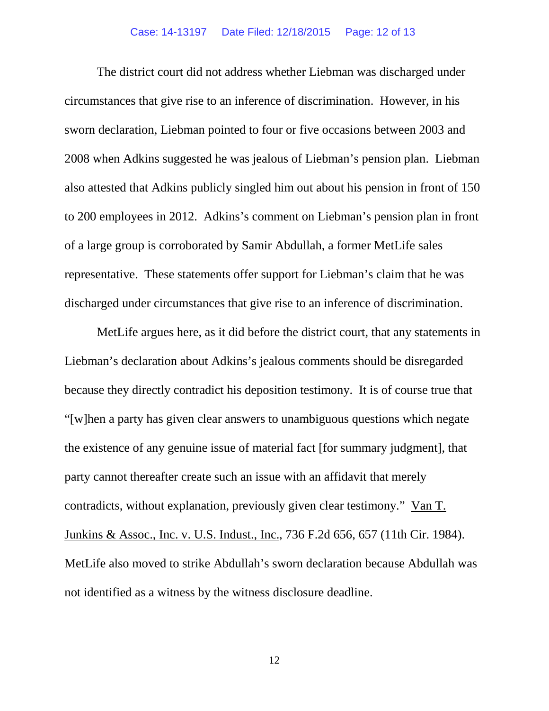The district court did not address whether Liebman was discharged under circumstances that give rise to an inference of discrimination. However, in his sworn declaration, Liebman pointed to four or five occasions between 2003 and 2008 when Adkins suggested he was jealous of Liebman's pension plan. Liebman also attested that Adkins publicly singled him out about his pension in front of 150 to 200 employees in 2012. Adkins's comment on Liebman's pension plan in front of a large group is corroborated by Samir Abdullah, a former MetLife sales representative. These statements offer support for Liebman's claim that he was discharged under circumstances that give rise to an inference of discrimination.

MetLife argues here, as it did before the district court, that any statements in Liebman's declaration about Adkins's jealous comments should be disregarded because they directly contradict his deposition testimony. It is of course true that "[w]hen a party has given clear answers to unambiguous questions which negate the existence of any genuine issue of material fact [for summary judgment], that party cannot thereafter create such an issue with an affidavit that merely contradicts, without explanation, previously given clear testimony." Van T. Junkins & Assoc., Inc. v. U.S. Indust., Inc., 736 F.2d 656, 657 (11th Cir. 1984). MetLife also moved to strike Abdullah's sworn declaration because Abdullah was not identified as a witness by the witness disclosure deadline.